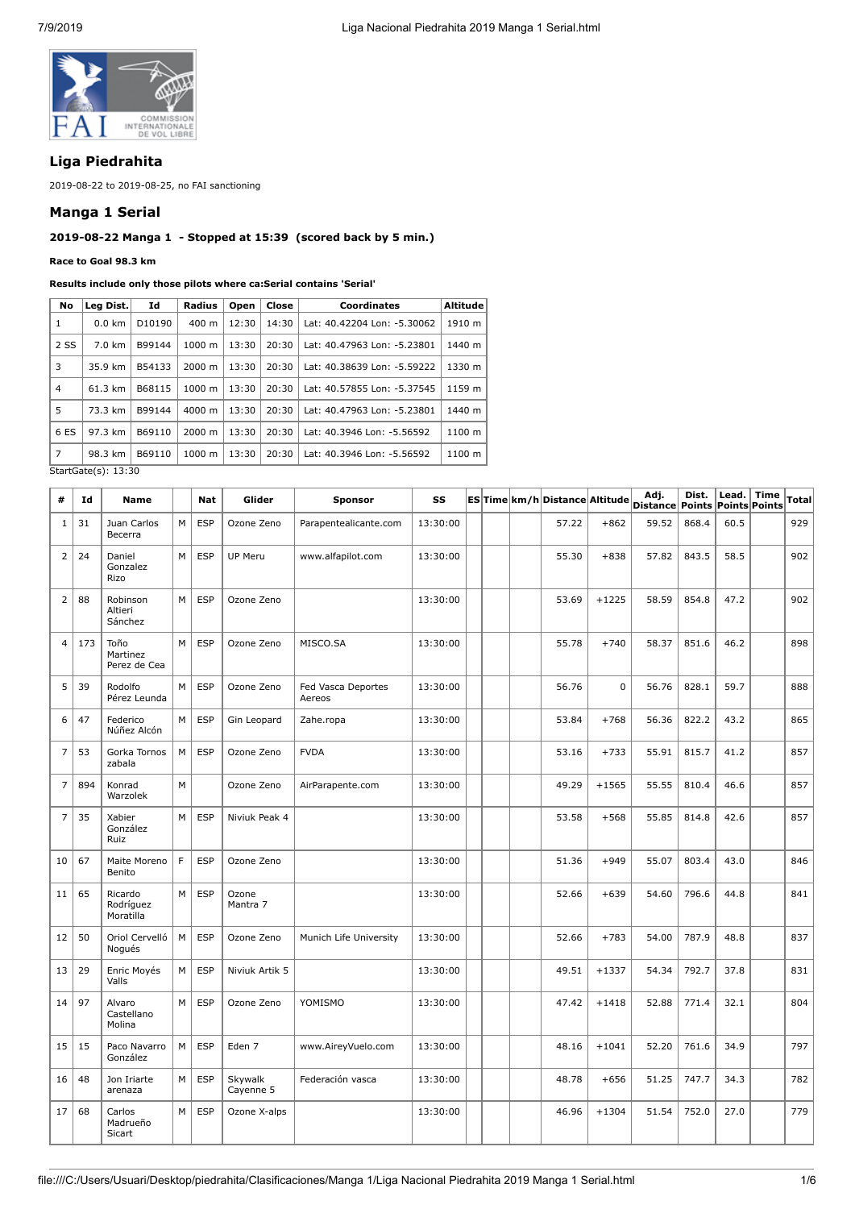

# **Liga Piedrahita**

2019-08-22 to 2019-08-25, no FAI sanctioning

### **Manga 1 Serial**

## **2019-08-22 Manga 1 - Stopped at 15:39 (scored back by 5 min.)**

#### **Race to Goal 98.3 km**

| Results include only those pilots where ca:Serial contains 'Serial' |  |  |  |  |  |
|---------------------------------------------------------------------|--|--|--|--|--|
|---------------------------------------------------------------------|--|--|--|--|--|

| No             | Leg Dist.         | Id     | Radius             | Open  | Close | <b>Coordinates</b>          | <b>Altitude</b> |
|----------------|-------------------|--------|--------------------|-------|-------|-----------------------------|-----------------|
| 1              | $0.0$ km          | D10190 | $400 \text{ m}$    | 12:30 | 14:30 | Lat: 40.42204 Lon: -5.30062 | 1910 m          |
| 2 SS           | $7.0 \text{ km}$  | B99144 | $1000 \; \text{m}$ | 13:30 | 20:30 | Lat: 40.47963 Lon: -5.23801 | 1440 m          |
| 3              | 35.9 km           | B54133 | $2000 \; \text{m}$ | 13:30 | 20:30 | Lat: 40.38639 Lon: -5.59222 | 1330 m          |
| $\overline{4}$ | $61.3 \text{ km}$ | B68115 | $1000 \; \text{m}$ | 13:30 | 20:30 | Lat: 40.57855 Lon: -5.37545 | 1159 m          |
| 5              | 73.3 km           | B99144 | $4000 \; \text{m}$ | 13:30 | 20:30 | Lat: 40.47963 Lon: -5.23801 | 1440 m          |
| 6 ES           | 97.3 km           | B69110 | $2000 \; \text{m}$ | 13:30 | 20:30 | Lat: 40.3946 Lon: -5.56592  | 1100 m          |
| $\overline{7}$ | 98.3 km           | B69110 | $1000 \; \text{m}$ | 13:30 | 20:30 | Lat: 40.3946 Lon: -5.56592  | 1100 m          |

StartGate(s): 13:30

| #              | Id  | <b>Name</b>                       |   | <b>Nat</b> | Glider               | Sponsor                      | SS       |  | ES Time km/h Distance Altitude |             | Adj.<br><b>Distance Points</b> | Dist. | Lead. | <b>Time</b><br><b>Points Points</b> | <b>Total</b> |
|----------------|-----|-----------------------------------|---|------------|----------------------|------------------------------|----------|--|--------------------------------|-------------|--------------------------------|-------|-------|-------------------------------------|--------------|
| 1              | 31  | Juan Carlos<br>Becerra            | M | <b>ESP</b> | Ozone Zeno           | Parapentealicante.com        | 13:30:00 |  | 57.22                          | $+862$      | 59.52                          | 868.4 | 60.5  |                                     | 929          |
| $\overline{2}$ | 24  | Daniel<br>Gonzalez<br>Rizo        | M | <b>ESP</b> | <b>UP Meru</b>       | www.alfapilot.com            | 13:30:00 |  | 55.30                          | $+838$      | 57.82                          | 843.5 | 58.5  |                                     | 902          |
| $\overline{2}$ | 88  | Robinson<br>Altieri<br>Sánchez    | M | <b>ESP</b> | Ozone Zeno           |                              | 13:30:00 |  | 53.69                          | $+1225$     | 58.59                          | 854.8 | 47.2  |                                     | 902          |
| $\overline{4}$ | 173 | Toño<br>Martinez<br>Perez de Cea  | м | <b>ESP</b> | Ozone Zeno           | MISCO.SA                     | 13:30:00 |  | 55.78                          | $+740$      | 58.37                          | 851.6 | 46.2  |                                     | 898          |
| 5              | 39  | Rodolfo<br>Pérez Leunda           | M | <b>ESP</b> | Ozone Zeno           | Fed Vasca Deportes<br>Aereos | 13:30:00 |  | 56.76                          | $\mathbf 0$ | 56.76                          | 828.1 | 59.7  |                                     | 888          |
| 6              | 47  | Federico<br>Núñez Alcón           | М | <b>ESP</b> | Gin Leopard          | Zahe.ropa                    | 13:30:00 |  | 53.84                          | $+768$      | 56.36                          | 822.2 | 43.2  |                                     | 865          |
| $\overline{7}$ | 53  | Gorka Tornos<br>zabala            | M | <b>ESP</b> | Ozone Zeno           | <b>FVDA</b>                  | 13:30:00 |  | 53.16                          | $+733$      | 55.91                          | 815.7 | 41.2  |                                     | 857          |
| $\overline{7}$ | 894 | Konrad<br>Warzolek                | M |            | Ozone Zeno           | AirParapente.com             | 13:30:00 |  | 49.29                          | $+1565$     | 55.55                          | 810.4 | 46.6  |                                     | 857          |
| $\overline{7}$ | 35  | Xabier<br>González<br>Ruiz        | M | <b>ESP</b> | Niviuk Peak 4        |                              | 13:30:00 |  | 53.58                          | $+568$      | 55.85                          | 814.8 | 42.6  |                                     | 857          |
| 10             | 67  | Maite Moreno<br>Benito            | F | <b>ESP</b> | Ozone Zeno           |                              | 13:30:00 |  | 51.36                          | $+949$      | 55.07                          | 803.4 | 43.0  |                                     | 846          |
| 11             | 65  | Ricardo<br>Rodríguez<br>Moratilla | М | <b>ESP</b> | Ozone<br>Mantra 7    |                              | 13:30:00 |  | 52.66                          | $+639$      | 54.60                          | 796.6 | 44.8  |                                     | 841          |
| 12             | 50  | Oriol Cervelló<br>Noqués          | M | <b>ESP</b> | Ozone Zeno           | Munich Life University       | 13:30:00 |  | 52.66                          | $+783$      | 54.00                          | 787.9 | 48.8  |                                     | 837          |
| 13             | 29  | Enric Moyés<br>Valls              | M | <b>ESP</b> | Niviuk Artik 5       |                              | 13:30:00 |  | 49.51                          | $+1337$     | 54.34                          | 792.7 | 37.8  |                                     | 831          |
| 14             | 97  | Alvaro<br>Castellano<br>Molina    | M | <b>ESP</b> | Ozone Zeno           | YOMISMO                      | 13:30:00 |  | 47.42                          | $+1418$     | 52.88                          | 771.4 | 32.1  |                                     | 804          |
| 15             | 15  | Paco Navarro<br>González          | M | <b>ESP</b> | Eden 7               | www.AireyVuelo.com           | 13:30:00 |  | 48.16                          | $+1041$     | 52.20                          | 761.6 | 34.9  |                                     | 797          |
| 16             | 48  | Jon Iriarte<br>arenaza            | M | <b>ESP</b> | Skywalk<br>Cayenne 5 | Federación vasca             | 13:30:00 |  | 48.78                          | $+656$      | 51.25                          | 747.7 | 34.3  |                                     | 782          |
| 17             | 68  | Carlos<br>Madrueño<br>Sicart      | M | <b>ESP</b> | Ozone X-alps         |                              | 13:30:00 |  | 46.96                          | $+1304$     | 51.54                          | 752.0 | 27.0  |                                     | 779          |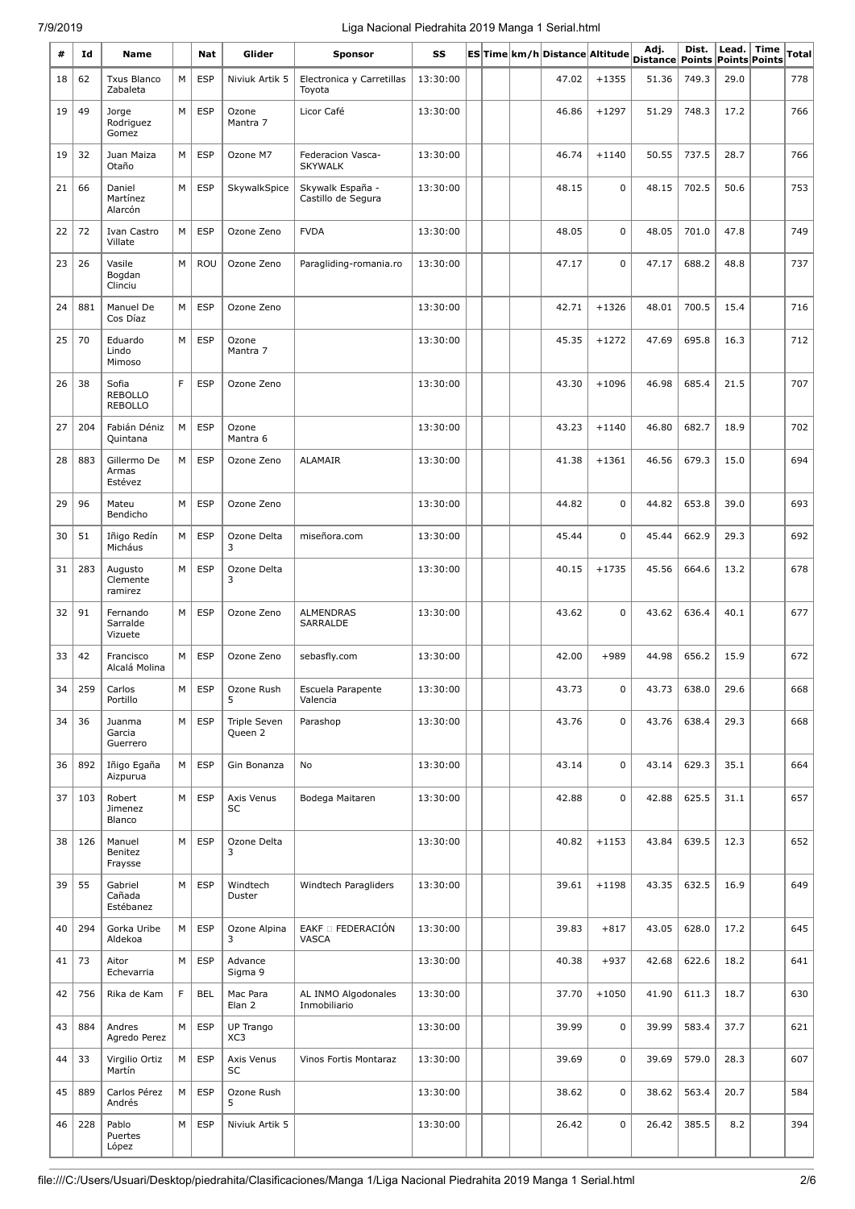## 7/9/2019 Liga Nacional Piedrahita 2019 Manga 1 Serial.html

| #  | Id  | Name                                      |    | Nat        | Glider                        | <b>Sponsor</b>                         | SS       |  | ES Time km/h Distance Altitude |             | Adj.<br><b>Distance Points</b> | Dist. |      | Lead. Time<br><b>Points Points</b> | <b>Total</b> |
|----|-----|-------------------------------------------|----|------------|-------------------------------|----------------------------------------|----------|--|--------------------------------|-------------|--------------------------------|-------|------|------------------------------------|--------------|
| 18 | 62  | <b>Txus Blanco</b><br>Zabaleta            | M  | <b>ESP</b> | Niviuk Artik 5                | Electronica y Carretillas<br>Toyota    | 13:30:00 |  | 47.02                          | $+1355$     | 51.36                          | 749.3 | 29.0 |                                    | 778          |
| 19 | 49  | Jorge<br>Rodriguez<br>Gomez               | M  | <b>ESP</b> | Ozone<br>Mantra 7             | Licor Café                             | 13:30:00 |  | 46.86                          | $+1297$     | 51.29                          | 748.3 | 17.2 |                                    | 766          |
| 19 | 32  | Juan Maiza<br>Otaño                       | M  | <b>ESP</b> | Ozone M7                      | Federacion Vasca-<br><b>SKYWALK</b>    | 13:30:00 |  | 46.74                          | $+1140$     | 50.55                          | 737.5 | 28.7 |                                    | 766          |
| 21 | 66  | Daniel<br>Martínez<br>Alarcón             | M  | <b>ESP</b> | SkywalkSpice                  | Skywalk España -<br>Castillo de Segura | 13:30:00 |  | 48.15                          | $\mathbf 0$ | 48.15                          | 702.5 | 50.6 |                                    | 753          |
| 22 | 72  | Ivan Castro<br>Villate                    | M  | <b>ESP</b> | Ozone Zeno                    | <b>FVDA</b>                            | 13:30:00 |  | 48.05                          | $\mathbf 0$ | 48.05                          | 701.0 | 47.8 |                                    | 749          |
| 23 | 26  | Vasile<br>Bogdan<br>Clinciu               | M  | ROU        | Ozone Zeno                    | Paragliding-romania.ro                 | 13:30:00 |  | 47.17                          | $\mathbf 0$ | 47.17                          | 688.2 | 48.8 |                                    | 737          |
| 24 | 881 | Manuel De<br>Cos Díaz                     | M  | <b>ESP</b> | Ozone Zeno                    |                                        | 13:30:00 |  | 42.71                          | $+1326$     | 48.01                          | 700.5 | 15.4 |                                    | 716          |
| 25 | 70  | Eduardo<br>Lindo<br>Mimoso                | М  | <b>ESP</b> | Ozone<br>Mantra 7             |                                        | 13:30:00 |  | 45.35                          | $+1272$     | 47.69                          | 695.8 | 16.3 |                                    | 712          |
| 26 | 38  | Sofia<br><b>REBOLLO</b><br><b>REBOLLO</b> | F. | <b>ESP</b> | Ozone Zeno                    |                                        | 13:30:00 |  | 43.30                          | $+1096$     | 46.98                          | 685.4 | 21.5 |                                    | 707          |
| 27 | 204 | Fabián Déniz<br>Quintana                  | М  | <b>ESP</b> | Ozone<br>Mantra 6             |                                        | 13:30:00 |  | 43.23                          | $+1140$     | 46.80                          | 682.7 | 18.9 |                                    | 702          |
| 28 | 883 | Gillermo De<br>Armas<br>Estévez           | M  | <b>ESP</b> | Ozone Zeno                    | ALAMAIR                                | 13:30:00 |  | 41.38                          | $+1361$     | 46.56                          | 679.3 | 15.0 |                                    | 694          |
| 29 | 96  | Mateu<br>Bendicho                         | M  | <b>ESP</b> | Ozone Zeno                    |                                        | 13:30:00 |  | 44.82                          | $\mathbf 0$ | 44.82                          | 653.8 | 39.0 |                                    | 693          |
| 30 | 51  | Iñigo Redín<br>Micháus                    | M  | <b>ESP</b> | Ozone Delta<br>3              | miseñora.com                           | 13:30:00 |  | 45.44                          | $\mathbf 0$ | 45.44                          | 662.9 | 29.3 |                                    | 692          |
| 31 | 283 | Augusto<br>Clemente<br>ramirez            | М  | <b>ESP</b> | Ozone Delta<br>3              |                                        | 13:30:00 |  | 40.15                          | $+1735$     | 45.56                          | 664.6 | 13.2 |                                    | 678          |
| 32 | 91  | Fernando<br>Sarralde<br>Vizuete           | M  | <b>ESP</b> | Ozone Zeno                    | <b>ALMENDRAS</b><br>SARRALDE           | 13:30:00 |  | 43.62                          | $\mathbf 0$ | 43.62                          | 636.4 | 40.1 |                                    | 677          |
| 33 | 42  | Francisco<br>Alcalá Molina                | M  | <b>ESP</b> | Ozone Zeno                    | sebasfly.com                           | 13:30:00 |  | 42.00                          | $+989$      | 44.98                          | 656.2 | 15.9 |                                    | 672          |
| 34 | 259 | Carlos<br>Portillo                        | M  | <b>ESP</b> | Ozone Rush<br>5               | Escuela Parapente<br>Valencia          | 13:30:00 |  | 43.73                          | 0           | 43.73                          | 638.0 | 29.6 |                                    | 668          |
| 34 | 36  | Juanma<br>Garcia<br>Guerrero              | М  | <b>ESP</b> | Triple Seven<br>Queen 2       | Parashop                               | 13:30:00 |  | 43.76                          | $\mathbf 0$ | 43.76                          | 638.4 | 29.3 |                                    | 668          |
| 36 | 892 | Iñigo Egaña<br>Aizpurua                   | М  | <b>ESP</b> | Gin Bonanza                   | No                                     | 13:30:00 |  | 43.14                          | $\mathbf 0$ | 43.14                          | 629.3 | 35.1 |                                    | 664          |
| 37 | 103 | Robert<br>Jimenez<br>Blanco               | M  | <b>ESP</b> | Axis Venus<br>SC              | Bodega Maitaren                        | 13:30:00 |  | 42.88                          | $\mathbf 0$ | 42.88                          | 625.5 | 31.1 |                                    | 657          |
| 38 | 126 | Manuel<br>Benitez<br>Fraysse              | M  | <b>ESP</b> | Ozone Delta<br>3              |                                        | 13:30:00 |  | 40.82                          | $+1153$     | 43.84                          | 639.5 | 12.3 |                                    | 652          |
| 39 | 55  | Gabriel<br>Cañada<br>Estébanez            | M  | <b>ESP</b> | Windtech<br>Duster            | Windtech Paragliders                   | 13:30:00 |  | 39.61                          | $+1198$     | 43.35                          | 632.5 | 16.9 |                                    | 649          |
| 40 | 294 | Gorka Uribe<br>Aldekoa                    | M  | <b>ESP</b> | Ozone Alpina<br>3             | EAKF <sup>D</sup> FEDERACIÓN<br>VASCA  | 13:30:00 |  | 39.83                          | $+817$      | 43.05                          | 628.0 | 17.2 |                                    | 645          |
| 41 | 73  | Aitor<br>Echevarria                       | М  | <b>ESP</b> | Advance<br>Sigma 9            |                                        | 13:30:00 |  | 40.38                          | $+937$      | 42.68                          | 622.6 | 18.2 |                                    | 641          |
| 42 | 756 | Rika de Kam                               | F. | <b>BEL</b> | Mac Para<br>Elan <sub>2</sub> | AL INMO Algodonales<br>Inmobiliario    | 13:30:00 |  | 37.70                          | $+1050$     | 41.90                          | 611.3 | 18.7 |                                    | 630          |
| 43 | 884 | Andres<br>Agredo Perez                    | M  | <b>ESP</b> | UP Trango<br>XC3              |                                        | 13:30:00 |  | 39.99                          | 0           | 39.99                          | 583.4 | 37.7 |                                    | 621          |
| 44 | 33  | Virgilio Ortiz<br>Martín                  | M  | <b>ESP</b> | Axis Venus<br>SC              | Vinos Fortis Montaraz                  | 13:30:00 |  | 39.69                          | 0           | 39.69                          | 579.0 | 28.3 |                                    | 607          |
| 45 | 889 | Carlos Pérez<br>Andrés                    | М  | <b>ESP</b> | Ozone Rush<br>5               |                                        | 13:30:00 |  | 38.62                          | 0           | 38.62                          | 563.4 | 20.7 |                                    | 584          |
| 46 | 228 | Pablo<br>Puertes<br>López                 | М  | <b>ESP</b> | Niviuk Artik 5                |                                        | 13:30:00 |  | 26.42                          | 0           | 26.42                          | 385.5 | 8.2  |                                    | 394          |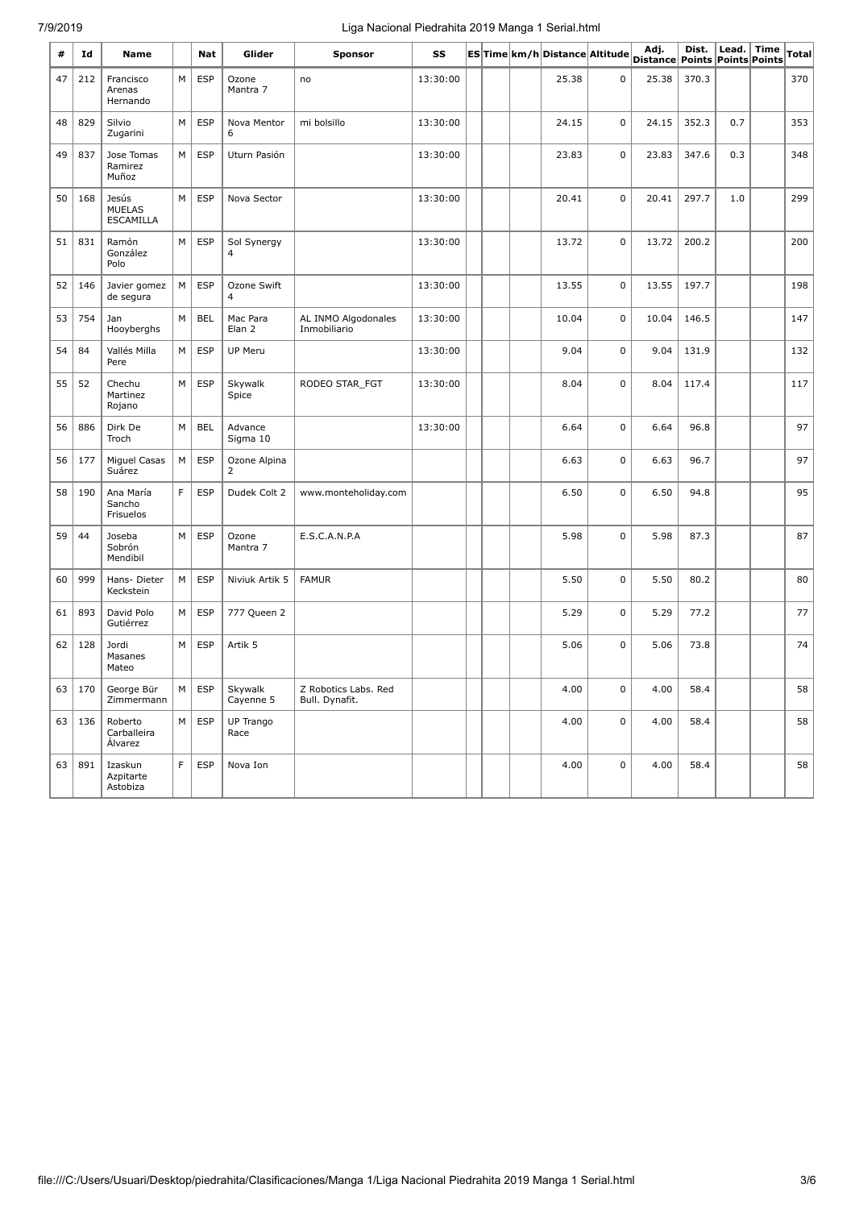# 7/9/2019 Liga Nacional Piedrahita 2019 Manga 1 Serial.html

| #  | Id  | Name                                |    | Nat        | Glider               | Sponsor                                | SS       |  | ES Time km/h Distance Altitude |             | Adj.<br>Distance Points Points Points | Dist. | Lead. $ $ | <b>Time</b> | Total |
|----|-----|-------------------------------------|----|------------|----------------------|----------------------------------------|----------|--|--------------------------------|-------------|---------------------------------------|-------|-----------|-------------|-------|
| 47 | 212 | Francisco<br>Arenas<br>Hernando     | M  | <b>ESP</b> | Ozone<br>Mantra 7    | no                                     | 13:30:00 |  | 25.38                          | 0           | 25.38                                 | 370.3 |           |             | 370   |
| 48 | 829 | Silvio<br>Zugarini                  | M  | <b>ESP</b> | Nova Mentor<br>6     | mi bolsillo                            | 13:30:00 |  | 24.15                          | $\mathbf 0$ | 24.15                                 | 352.3 | 0.7       |             | 353   |
| 49 | 837 | Jose Tomas<br>Ramirez<br>Muñoz      | M  | <b>ESP</b> | Uturn Pasión         |                                        | 13:30:00 |  | 23.83                          | $\mathbf 0$ | 23.83                                 | 347.6 | 0.3       |             | 348   |
| 50 | 168 | Jesús<br><b>MUELAS</b><br>ESCAMILLA | M  | <b>ESP</b> | Nova Sector          |                                        | 13:30:00 |  | 20.41                          | $\mathbf 0$ | 20.41                                 | 297.7 | 1.0       |             | 299   |
| 51 | 831 | Ramón<br>González<br>Polo           | М  | <b>ESP</b> | Sol Synergy<br>4     |                                        | 13:30:00 |  | 13.72                          | $\mathbf 0$ | 13.72                                 | 200.2 |           |             | 200   |
| 52 | 146 | Javier gomez<br>de segura           | М  | <b>ESP</b> | Ozone Swift<br>4     |                                        | 13:30:00 |  | 13.55                          | 0           | 13.55                                 | 197.7 |           |             | 198   |
| 53 | 754 | Jan<br>Hooyberghs                   | M  | <b>BEL</b> | Mac Para<br>Elan 2   | AL INMO Algodonales<br>Inmobiliario    | 13:30:00 |  | 10.04                          | $\mathbf 0$ | 10.04                                 | 146.5 |           |             | 147   |
| 54 | 84  | Vallés Milla<br>Pere                | M  | <b>ESP</b> | <b>UP Meru</b>       |                                        | 13:30:00 |  | 9.04                           | 0           | 9.04                                  | 131.9 |           |             | 132   |
| 55 | 52  | Chechu<br>Martinez<br>Rojano        | M  | <b>ESP</b> | Skywalk<br>Spice     | RODEO STAR_FGT                         | 13:30:00 |  | 8.04                           | 0           | 8.04                                  | 117.4 |           |             | 117   |
| 56 | 886 | Dirk De<br>Troch                    | M  | <b>BEL</b> | Advance<br>Sigma 10  |                                        | 13:30:00 |  | 6.64                           | 0           | 6.64                                  | 96.8  |           |             | 97    |
| 56 | 177 | Miguel Casas<br>Suárez              | М  | <b>ESP</b> | Ozone Alpina<br>2    |                                        |          |  | 6.63                           | 0           | 6.63                                  | 96.7  |           |             | 97    |
| 58 | 190 | Ana María<br>Sancho<br>Frisuelos    | F. | <b>ESP</b> | Dudek Colt 2         | www.monteholiday.com                   |          |  | 6.50                           | $\mathbf 0$ | 6.50                                  | 94.8  |           |             | 95    |
| 59 | 44  | Joseba<br>Sobrón<br>Mendibil        | M  | <b>ESP</b> | Ozone<br>Mantra 7    | E.S.C.A.N.P.A                          |          |  | 5.98                           | 0           | 5.98                                  | 87.3  |           |             | 87    |
| 60 | 999 | Hans-Dieter<br>Keckstein            | М  | ESP        | Niviuk Artik 5       | <b>FAMUR</b>                           |          |  | 5.50                           | 0           | 5.50                                  | 80.2  |           |             | 80    |
| 61 | 893 | David Polo<br>Gutiérrez             | М  | <b>ESP</b> | 777 Queen 2          |                                        |          |  | 5.29                           | 0           | 5.29                                  | 77.2  |           |             | 77    |
| 62 | 128 | Jordi<br>Masanes<br>Mateo           | М  | ESP        | Artik 5              |                                        |          |  | 5.06                           | $\mathbf 0$ | 5.06                                  | 73.8  |           |             | 74    |
| 63 | 170 | George Bür<br>Zimmermann            | M  | ESP        | Skywalk<br>Cayenne 5 | Z Robotics Labs. Red<br>Bull. Dynafit. |          |  | 4.00                           | 0           | 4.00                                  | 58.4  |           |             | 58    |
| 63 | 136 | Roberto<br>Carballeira<br>Álvarez   | M  | <b>ESP</b> | UP Trango<br>Race    |                                        |          |  | 4.00                           | 0           | 4.00                                  | 58.4  |           |             | 58    |
| 63 | 891 | Izaskun<br>Azpitarte<br>Astobiza    | F  | <b>ESP</b> | Nova Ion             |                                        |          |  | 4.00                           | 0           | 4.00                                  | 58.4  |           |             | 58    |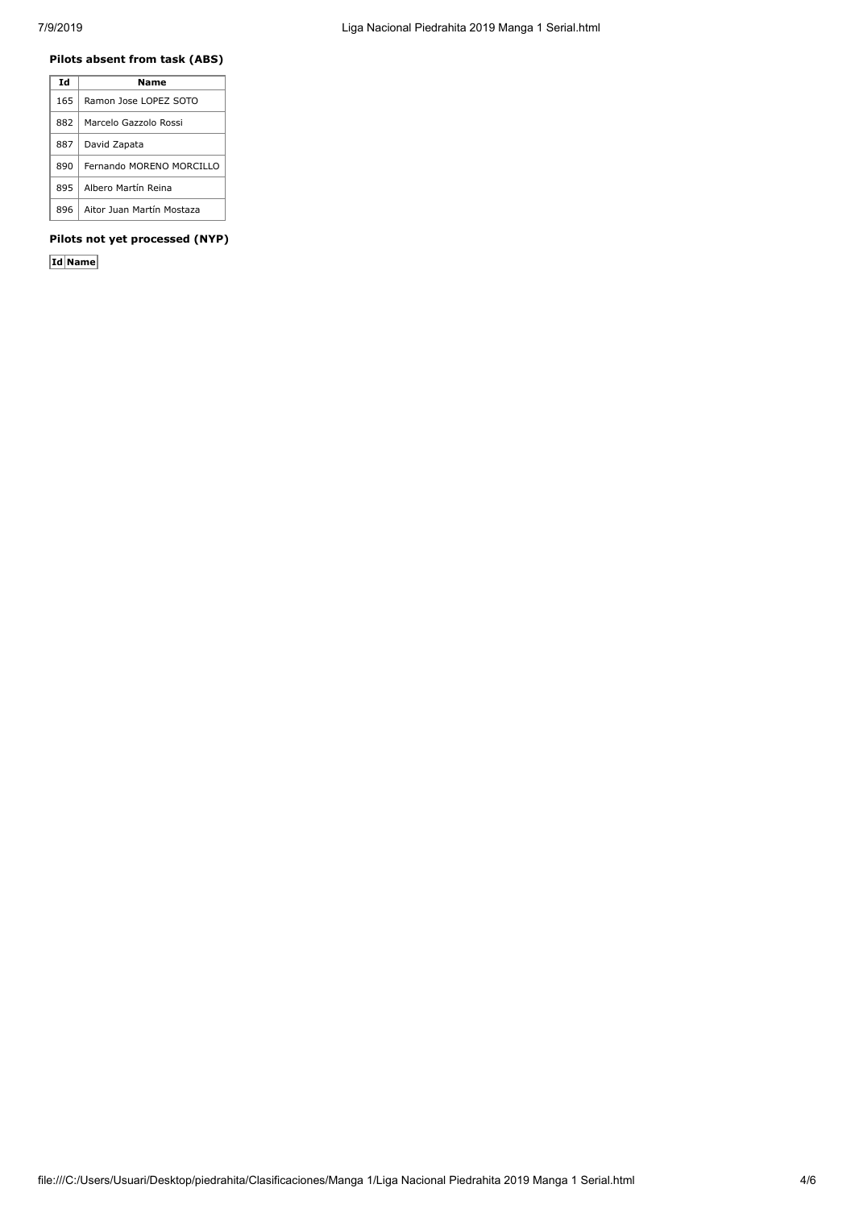## **Pilots absent from task (ABS)**

| Td  | Name                      |
|-----|---------------------------|
| 165 | Ramon Jose LOPEZ SOTO     |
| 882 | Marcelo Gazzolo Rossi     |
| 887 | David Zapata              |
| 890 | Fernando MORENO MORCILLO  |
| 895 | Albero Martín Reina       |
| 896 | Aitor Juan Martín Mostaza |

## **Pilots not yet processed (NYP)**

**Id Name**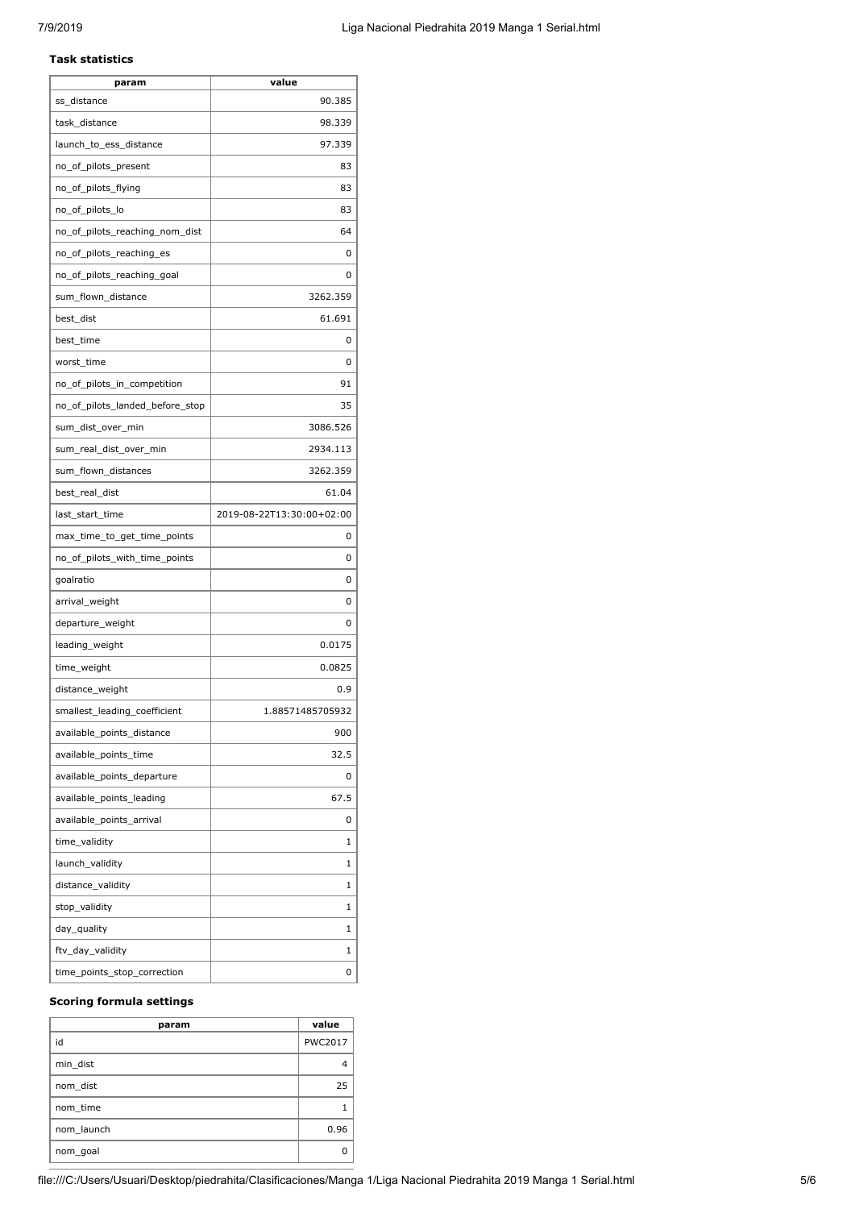### **Task statistics**

| 90.385<br>ss_distance<br>task_distance<br>98.339<br>97.339<br>launch_to_ess_distance<br>no_of_pilots_present<br>83<br>no_of_pilots_flying<br>83<br>no_of_pilots_lo<br>83<br>64<br>no_of_pilots_reaching_nom_dist<br>no_of_pilots_reaching_es<br>0<br>no_of_pilots_reaching_goal<br>0<br>sum_flown_distance<br>3262.359<br>best_dist<br>61.691<br>best_time<br>0<br>worst time<br>0<br>91<br>no_of_pilots_in_competition<br>35<br>no_of_pilots_landed_before_stop<br>3086.526<br>sum_dist_over_min<br>2934.113<br>sum_real_dist_over_min |
|-----------------------------------------------------------------------------------------------------------------------------------------------------------------------------------------------------------------------------------------------------------------------------------------------------------------------------------------------------------------------------------------------------------------------------------------------------------------------------------------------------------------------------------------|
|                                                                                                                                                                                                                                                                                                                                                                                                                                                                                                                                         |
|                                                                                                                                                                                                                                                                                                                                                                                                                                                                                                                                         |
|                                                                                                                                                                                                                                                                                                                                                                                                                                                                                                                                         |
|                                                                                                                                                                                                                                                                                                                                                                                                                                                                                                                                         |
|                                                                                                                                                                                                                                                                                                                                                                                                                                                                                                                                         |
|                                                                                                                                                                                                                                                                                                                                                                                                                                                                                                                                         |
|                                                                                                                                                                                                                                                                                                                                                                                                                                                                                                                                         |
|                                                                                                                                                                                                                                                                                                                                                                                                                                                                                                                                         |
|                                                                                                                                                                                                                                                                                                                                                                                                                                                                                                                                         |
|                                                                                                                                                                                                                                                                                                                                                                                                                                                                                                                                         |
|                                                                                                                                                                                                                                                                                                                                                                                                                                                                                                                                         |
|                                                                                                                                                                                                                                                                                                                                                                                                                                                                                                                                         |
|                                                                                                                                                                                                                                                                                                                                                                                                                                                                                                                                         |
|                                                                                                                                                                                                                                                                                                                                                                                                                                                                                                                                         |
|                                                                                                                                                                                                                                                                                                                                                                                                                                                                                                                                         |
|                                                                                                                                                                                                                                                                                                                                                                                                                                                                                                                                         |
|                                                                                                                                                                                                                                                                                                                                                                                                                                                                                                                                         |
| 3262.359<br>sum_flown_distances                                                                                                                                                                                                                                                                                                                                                                                                                                                                                                         |
| best_real_dist<br>61.04                                                                                                                                                                                                                                                                                                                                                                                                                                                                                                                 |
| last_start_time<br>2019-08-22T13:30:00+02:00                                                                                                                                                                                                                                                                                                                                                                                                                                                                                            |
| max_time_to_get_time_points<br>0                                                                                                                                                                                                                                                                                                                                                                                                                                                                                                        |
| no_of_pilots_with_time_points<br>0                                                                                                                                                                                                                                                                                                                                                                                                                                                                                                      |
| goalratio<br>0                                                                                                                                                                                                                                                                                                                                                                                                                                                                                                                          |
| arrival_weight<br>0                                                                                                                                                                                                                                                                                                                                                                                                                                                                                                                     |
| departure_weight<br>0                                                                                                                                                                                                                                                                                                                                                                                                                                                                                                                   |
| 0.0175<br>leading_weight                                                                                                                                                                                                                                                                                                                                                                                                                                                                                                                |
| time_weight<br>0.0825                                                                                                                                                                                                                                                                                                                                                                                                                                                                                                                   |
| distance_weight<br>0.9                                                                                                                                                                                                                                                                                                                                                                                                                                                                                                                  |
| smallest_leading_coefficient<br>1.88571485705932                                                                                                                                                                                                                                                                                                                                                                                                                                                                                        |
| available_points_distance<br>900                                                                                                                                                                                                                                                                                                                                                                                                                                                                                                        |
| available_points_time<br>32.5                                                                                                                                                                                                                                                                                                                                                                                                                                                                                                           |
| available_points_departure<br>0                                                                                                                                                                                                                                                                                                                                                                                                                                                                                                         |
| available_points_leading<br>67.5                                                                                                                                                                                                                                                                                                                                                                                                                                                                                                        |
| available_points_arrival<br>0                                                                                                                                                                                                                                                                                                                                                                                                                                                                                                           |
| time_validity<br>1                                                                                                                                                                                                                                                                                                                                                                                                                                                                                                                      |
| launch_validity<br>1                                                                                                                                                                                                                                                                                                                                                                                                                                                                                                                    |
| distance_validity<br>1                                                                                                                                                                                                                                                                                                                                                                                                                                                                                                                  |
| stop_validity<br>1                                                                                                                                                                                                                                                                                                                                                                                                                                                                                                                      |
| day_quality<br>1                                                                                                                                                                                                                                                                                                                                                                                                                                                                                                                        |
| ftv_day_validity<br>1                                                                                                                                                                                                                                                                                                                                                                                                                                                                                                                   |
| time_points_stop_correction<br>0                                                                                                                                                                                                                                                                                                                                                                                                                                                                                                        |

## **Scoring formula settings**

| param      | value          |
|------------|----------------|
| id         | <b>PWC2017</b> |
| min_dist   |                |
| nom_dist   | 25             |
| nom time   |                |
| nom launch | 0.96           |
| nom_goal   |                |